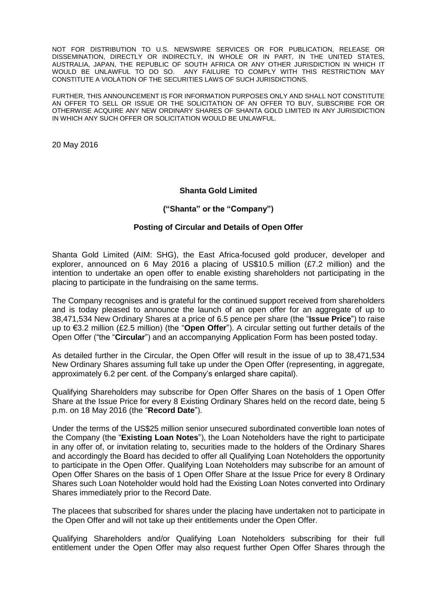NOT FOR DISTRIBUTION TO U.S. NEWSWIRE SERVICES OR FOR PUBLICATION, RELEASE OR DISSEMINATION, DIRECTLY OR INDIRECTLY, IN WHOLE OR IN PART, IN THE UNITED STATES, AUSTRALIA, JAPAN, THE REPUBLIC OF SOUTH AFRICA OR ANY OTHER JURISDICTION IN WHICH IT WOULD BE UNLAWFUL TO DO SO. ANY FAILURE TO COMPLY WITH THIS RESTRICTION MAY CONSTITUTE A VIOLATION OF THE SECURITIES LAWS OF SUCH JURISDICTIONS.

FURTHER, THIS ANNOUNCEMENT IS FOR INFORMATION PURPOSES ONLY AND SHALL NOT CONSTITUTE AN OFFER TO SELL OR ISSUE OR THE SOLICITATION OF AN OFFER TO BUY, SUBSCRIBE FOR OR OTHERWISE ACQUIRE ANY NEW ORDINARY SHARES OF SHANTA GOLD LIMITED IN ANY JURISIDICTION IN WHICH ANY SUCH OFFER OR SOLICITATION WOULD BE UNLAWFUL.

20 May 2016

### **Shanta Gold Limited**

#### **("Shanta" or the "Company")**

#### **Posting of Circular and Details of Open Offer**

Shanta Gold Limited (AIM: SHG), the East Africa-focused gold producer, developer and explorer, announced on 6 May 2016 a placing of US\$10.5 million (£7.2 million) and the intention to undertake an open offer to enable existing shareholders not participating in the placing to participate in the fundraising on the same terms.

The Company recognises and is grateful for the continued support received from shareholders and is today pleased to announce the launch of an open offer for an aggregate of up to 38,471,534 New Ordinary Shares at a price of 6.5 pence per share (the "**Issue Price**") to raise up to €3.2 million (£2.5 million) (the "**Open Offer**"). A circular setting out further details of the Open Offer ("the "**Circular**") and an accompanying Application Form has been posted today.

As detailed further in the Circular, the Open Offer will result in the issue of up to 38,471,534 New Ordinary Shares assuming full take up under the Open Offer (representing, in aggregate, approximately 6.2 per cent. of the Company's enlarged share capital).

Qualifying Shareholders may subscribe for Open Offer Shares on the basis of 1 Open Offer Share at the Issue Price for every 8 Existing Ordinary Shares held on the record date, being 5 p.m. on 18 May 2016 (the "**Record Date**").

Under the terms of the US\$25 million senior unsecured subordinated convertible loan notes of the Company (the "**Existing Loan Notes**"), the Loan Noteholders have the right to participate in any offer of, or invitation relating to, securities made to the holders of the Ordinary Shares and accordingly the Board has decided to offer all Qualifying Loan Noteholders the opportunity to participate in the Open Offer. Qualifying Loan Noteholders may subscribe for an amount of Open Offer Shares on the basis of 1 Open Offer Share at the Issue Price for every 8 Ordinary Shares such Loan Noteholder would hold had the Existing Loan Notes converted into Ordinary Shares immediately prior to the Record Date.

The placees that subscribed for shares under the placing have undertaken not to participate in the Open Offer and will not take up their entitlements under the Open Offer.

Qualifying Shareholders and/or Qualifying Loan Noteholders subscribing for their full entitlement under the Open Offer may also request further Open Offer Shares through the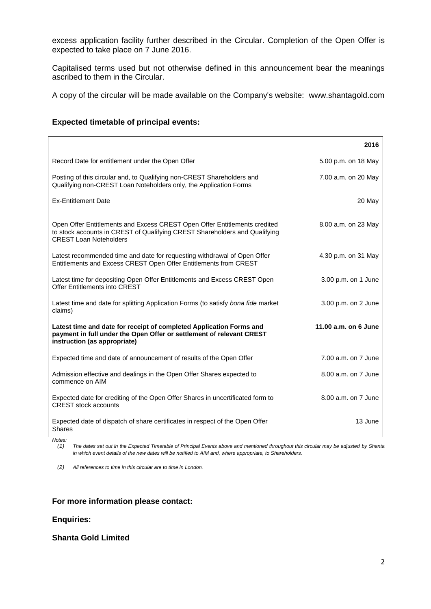excess application facility further described in the Circular. Completion of the Open Offer is expected to take place on 7 June 2016.

Capitalised terms used but not otherwise defined in this announcement bear the meanings ascribed to them in the Circular.

A copy of the circular will be made available on the Company's website: www.shantagold.com

| <b>Expected timetable of principal events:</b> |  |  |
|------------------------------------------------|--|--|
|------------------------------------------------|--|--|

|                                                                                                                                                                                          | 2016                 |
|------------------------------------------------------------------------------------------------------------------------------------------------------------------------------------------|----------------------|
| Record Date for entitlement under the Open Offer                                                                                                                                         | 5.00 p.m. on 18 May  |
| Posting of this circular and, to Qualifying non-CREST Shareholders and<br>Qualifying non-CREST Loan Noteholders only, the Application Forms                                              | 7.00 a.m. on 20 May  |
| <b>Ex-Entitlement Date</b>                                                                                                                                                               | 20 May               |
| Open Offer Entitlements and Excess CREST Open Offer Entitlements credited<br>to stock accounts in CREST of Qualifying CREST Shareholders and Qualifying<br><b>CREST Loan Noteholders</b> | 8.00 a.m. on 23 May  |
| Latest recommended time and date for requesting withdrawal of Open Offer<br>Entitlements and Excess CREST Open Offer Entitlements from CREST                                             | 4.30 p.m. on 31 May  |
| Latest time for depositing Open Offer Entitlements and Excess CREST Open<br>Offer Entitlements into CREST                                                                                | 3.00 p.m. on 1 June  |
| Latest time and date for splitting Application Forms (to satisfy bona fide market<br>claims)                                                                                             | 3.00 p.m. on 2 June  |
| Latest time and date for receipt of completed Application Forms and<br>payment in full under the Open Offer or settlement of relevant CREST<br>instruction (as appropriate)              | 11.00 a.m. on 6 June |
| Expected time and date of announcement of results of the Open Offer                                                                                                                      | 7.00 a.m. on 7 June  |
| Admission effective and dealings in the Open Offer Shares expected to<br>commence on AIM                                                                                                 | 8.00 a.m. on 7 June  |
| Expected date for crediting of the Open Offer Shares in uncertificated form to<br><b>CREST</b> stock accounts                                                                            | 8.00 a.m. on 7 June  |
| Expected date of dispatch of share certificates in respect of the Open Offer<br><b>Shares</b>                                                                                            | 13 June              |

*Notes:*

*(1) The dates set out in the Expected Timetable of Principal Events above and mentioned throughout this circular may be adjusted by Shanta in which event details of the new dates will be notified to AIM and, where appropriate, to Shareholders.*

*(2) All references to time in this circular are to time in London.*

#### **For more information please contact:**

## **Enquiries:**

## **Shanta Gold Limited**